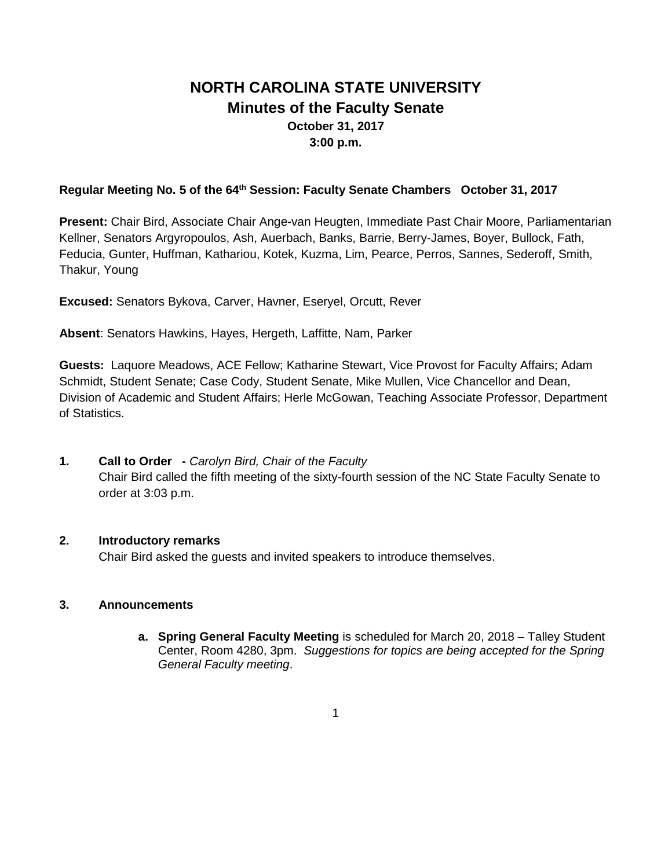# **NORTH CAROLINA STATE UNIVERSITY Minutes of the Faculty Senate October 31, 2017 3:00 p.m.**

#### **Regular Meeting No. 5 of the 64th Session: Faculty Senate Chambers October 31, 2017**

**Present:** Chair Bird, Associate Chair Ange-van Heugten, Immediate Past Chair Moore, Parliamentarian Kellner, Senators Argyropoulos, Ash, Auerbach, Banks, Barrie, Berry-James, Boyer, Bullock, Fath, Feducia, Gunter, Huffman, Kathariou, Kotek, Kuzma, Lim, Pearce, Perros, Sannes, Sederoff, Smith, Thakur, Young

**Excused:** Senators Bykova, Carver, Havner, Eseryel, Orcutt, Rever

**Absent**: Senators Hawkins, Hayes, Hergeth, Laffitte, Nam, Parker

**Guests:** Laquore Meadows, ACE Fellow; Katharine Stewart, Vice Provost for Faculty Affairs; Adam Schmidt, Student Senate; Case Cody, Student Senate, Mike Mullen, Vice Chancellor and Dean, Division of Academic and Student Affairs; Herle McGowan, Teaching Associate Professor, Department of Statistics.

### **1. Call to Order -** *Carolyn Bird, Chair of the Faculty*

Chair Bird called the fifth meeting of the sixty-fourth session of the NC State Faculty Senate to order at 3:03 p.m.

### **2. Introductory remarks**

Chair Bird asked the guests and invited speakers to introduce themselves.

### **3. Announcements**

**a. Spring General Faculty Meeting** is scheduled for March 20, 2018 – Talley Student Center, Room 4280, 3pm. *Suggestions for topics are being accepted for the Spring General Faculty meeting*.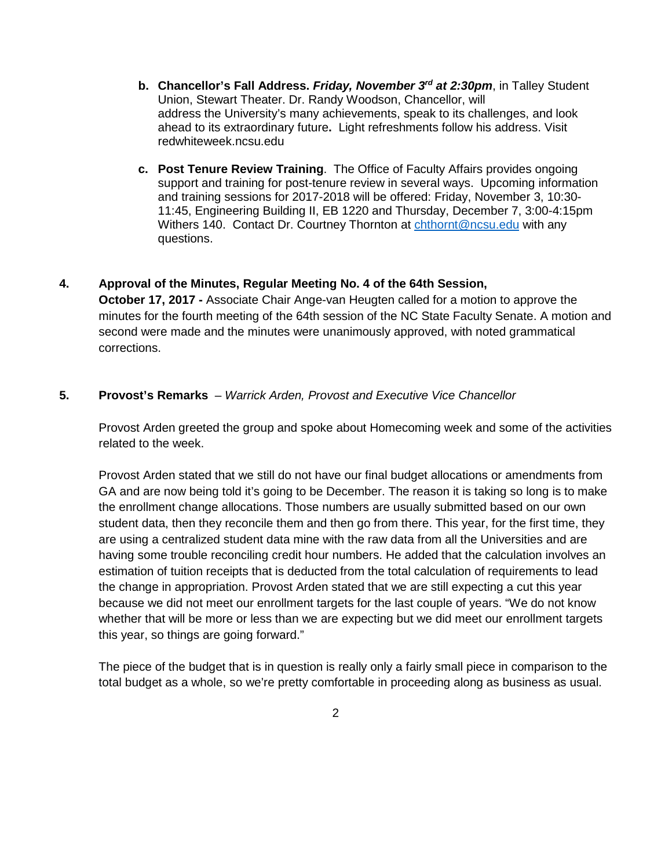- **b. Chancellor's Fall Address.** *Friday, November 3rd at 2:30pm*, in Talley Student Union, Stewart Theater. Dr. Randy Woodson, Chancellor, will address the University's many achievements, speak to its challenges, and look ahead to its extraordinary future**.** Light refreshments follow his address. Visit redwhiteweek.ncsu.edu
- **c. Post Tenure Review Training**. The Office of Faculty Affairs provides ongoing support and training for post-tenure review in several ways. Upcoming information and training sessions for 2017-2018 will be offered: Friday, November 3, 10:30- 11:45, Engineering Building II, EB 1220 and Thursday, December 7, 3:00-4:15pm Withers 140. Contact Dr. Courtney Thornton at [chthornt@ncsu.edu](mailto:chthornt@ncsu.edu) with any questions.
- **4. Approval of the Minutes, Regular Meeting No. 4 of the 64th Session, October 17, 2017 -** Associate Chair Ange-van Heugten called for a motion to approve the minutes for the fourth meeting of the 64th session of the NC State Faculty Senate. A motion and second were made and the minutes were unanimously approved, with noted grammatical corrections.
- **5. Provost's Remarks**  *Warrick Arden, Provost and Executive Vice Chancellor*

Provost Arden greeted the group and spoke about Homecoming week and some of the activities related to the week.

Provost Arden stated that we still do not have our final budget allocations or amendments from GA and are now being told it's going to be December. The reason it is taking so long is to make the enrollment change allocations. Those numbers are usually submitted based on our own student data, then they reconcile them and then go from there. This year, for the first time, they are using a centralized student data mine with the raw data from all the Universities and are having some trouble reconciling credit hour numbers. He added that the calculation involves an estimation of tuition receipts that is deducted from the total calculation of requirements to lead the change in appropriation. Provost Arden stated that we are still expecting a cut this year because we did not meet our enrollment targets for the last couple of years. "We do not know whether that will be more or less than we are expecting but we did meet our enrollment targets this year, so things are going forward."

The piece of the budget that is in question is really only a fairly small piece in comparison to the total budget as a whole, so we're pretty comfortable in proceeding along as business as usual.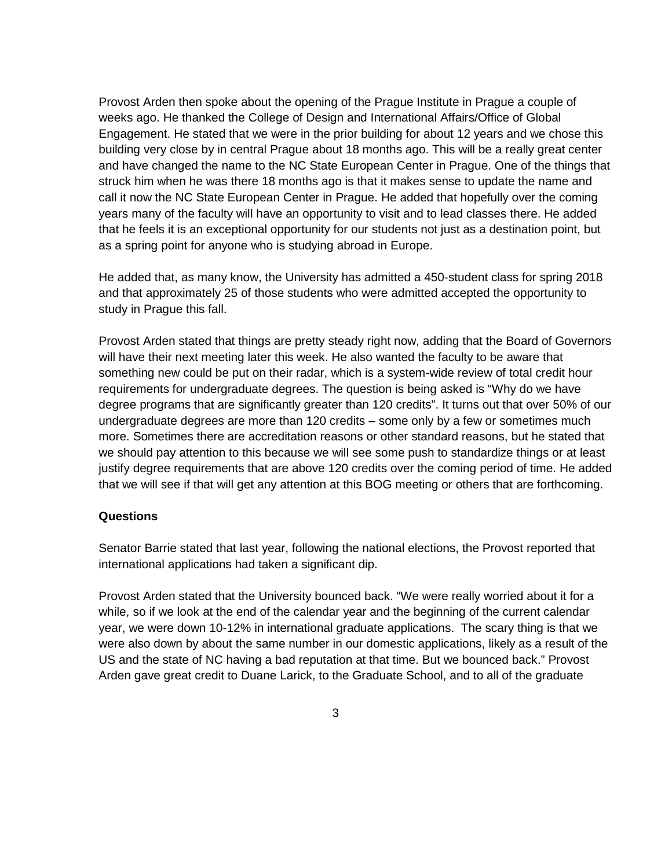Provost Arden then spoke about the opening of the Prague Institute in Prague a couple of weeks ago. He thanked the College of Design and International Affairs/Office of Global Engagement. He stated that we were in the prior building for about 12 years and we chose this building very close by in central Prague about 18 months ago. This will be a really great center and have changed the name to the NC State European Center in Prague. One of the things that struck him when he was there 18 months ago is that it makes sense to update the name and call it now the NC State European Center in Prague. He added that hopefully over the coming years many of the faculty will have an opportunity to visit and to lead classes there. He added that he feels it is an exceptional opportunity for our students not just as a destination point, but as a spring point for anyone who is studying abroad in Europe.

He added that, as many know, the University has admitted a 450-student class for spring 2018 and that approximately 25 of those students who were admitted accepted the opportunity to study in Prague this fall.

Provost Arden stated that things are pretty steady right now, adding that the Board of Governors will have their next meeting later this week. He also wanted the faculty to be aware that something new could be put on their radar, which is a system-wide review of total credit hour requirements for undergraduate degrees. The question is being asked is "Why do we have degree programs that are significantly greater than 120 credits". It turns out that over 50% of our undergraduate degrees are more than 120 credits – some only by a few or sometimes much more. Sometimes there are accreditation reasons or other standard reasons, but he stated that we should pay attention to this because we will see some push to standardize things or at least justify degree requirements that are above 120 credits over the coming period of time. He added that we will see if that will get any attention at this BOG meeting or others that are forthcoming.

#### **Questions**

Senator Barrie stated that last year, following the national elections, the Provost reported that international applications had taken a significant dip.

Provost Arden stated that the University bounced back. "We were really worried about it for a while, so if we look at the end of the calendar year and the beginning of the current calendar year, we were down 10-12% in international graduate applications. The scary thing is that we were also down by about the same number in our domestic applications, likely as a result of the US and the state of NC having a bad reputation at that time. But we bounced back." Provost Arden gave great credit to Duane Larick, to the Graduate School, and to all of the graduate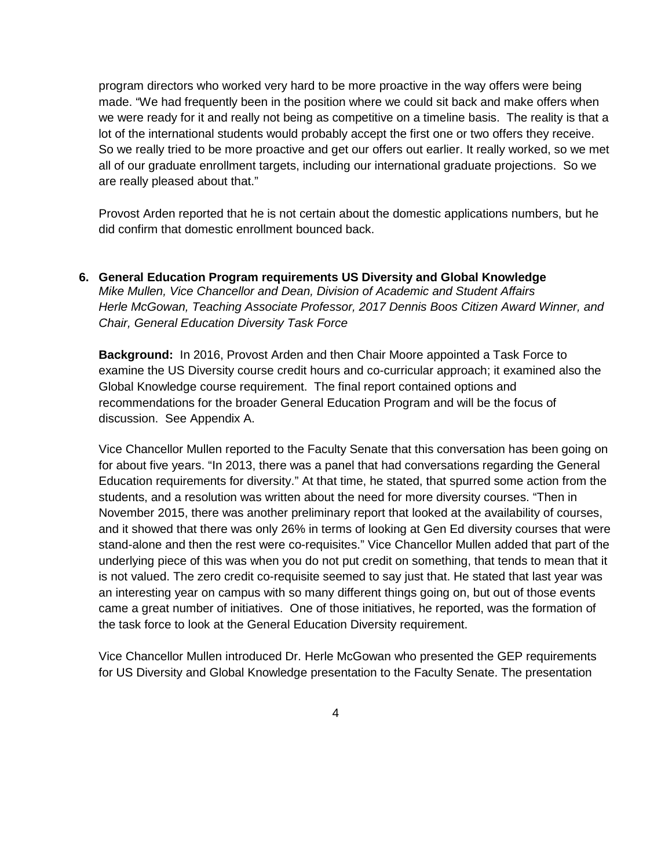program directors who worked very hard to be more proactive in the way offers were being made. "We had frequently been in the position where we could sit back and make offers when we were ready for it and really not being as competitive on a timeline basis. The reality is that a lot of the international students would probably accept the first one or two offers they receive. So we really tried to be more proactive and get our offers out earlier. It really worked, so we met all of our graduate enrollment targets, including our international graduate projections. So we are really pleased about that."

Provost Arden reported that he is not certain about the domestic applications numbers, but he did confirm that domestic enrollment bounced back.

**6. General Education Program requirements US Diversity and Global Knowledge** *Mike Mullen, Vice Chancellor and Dean, Division of Academic and Student Affairs Herle McGowan, Teaching Associate Professor, 2017 Dennis Boos Citizen Award Winner, and Chair, General Education Diversity Task Force*

**Background:** In 2016, Provost Arden and then Chair Moore appointed a Task Force to examine the US Diversity course credit hours and co-curricular approach; it examined also the Global Knowledge course requirement. The final report contained options and recommendations for the broader General Education Program and will be the focus of discussion. See Appendix A.

Vice Chancellor Mullen reported to the Faculty Senate that this conversation has been going on for about five years. "In 2013, there was a panel that had conversations regarding the General Education requirements for diversity." At that time, he stated, that spurred some action from the students, and a resolution was written about the need for more diversity courses. "Then in November 2015, there was another preliminary report that looked at the availability of courses, and it showed that there was only 26% in terms of looking at Gen Ed diversity courses that were stand-alone and then the rest were co-requisites." Vice Chancellor Mullen added that part of the underlying piece of this was when you do not put credit on something, that tends to mean that it is not valued. The zero credit co-requisite seemed to say just that. He stated that last year was an interesting year on campus with so many different things going on, but out of those events came a great number of initiatives. One of those initiatives, he reported, was the formation of the task force to look at the General Education Diversity requirement.

Vice Chancellor Mullen introduced Dr. Herle McGowan who presented the GEP requirements for US Diversity and Global Knowledge presentation to the Faculty Senate. The presentation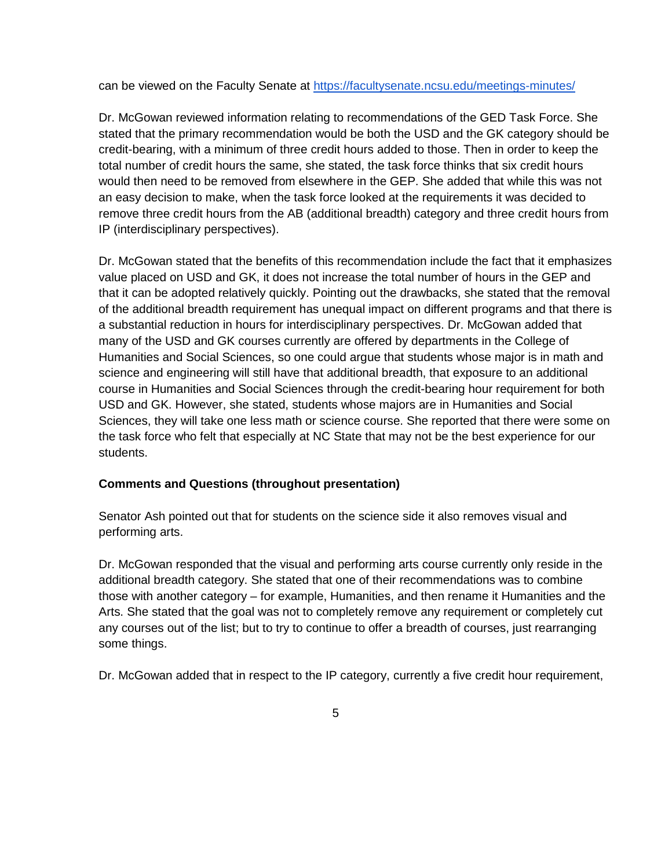can be viewed on the Faculty Senate at<https://facultysenate.ncsu.edu/meetings-minutes/>

Dr. McGowan reviewed information relating to recommendations of the GED Task Force. She stated that the primary recommendation would be both the USD and the GK category should be credit-bearing, with a minimum of three credit hours added to those. Then in order to keep the total number of credit hours the same, she stated, the task force thinks that six credit hours would then need to be removed from elsewhere in the GEP. She added that while this was not an easy decision to make, when the task force looked at the requirements it was decided to remove three credit hours from the AB (additional breadth) category and three credit hours from IP (interdisciplinary perspectives).

Dr. McGowan stated that the benefits of this recommendation include the fact that it emphasizes value placed on USD and GK, it does not increase the total number of hours in the GEP and that it can be adopted relatively quickly. Pointing out the drawbacks, she stated that the removal of the additional breadth requirement has unequal impact on different programs and that there is a substantial reduction in hours for interdisciplinary perspectives. Dr. McGowan added that many of the USD and GK courses currently are offered by departments in the College of Humanities and Social Sciences, so one could argue that students whose major is in math and science and engineering will still have that additional breadth, that exposure to an additional course in Humanities and Social Sciences through the credit-bearing hour requirement for both USD and GK. However, she stated, students whose majors are in Humanities and Social Sciences, they will take one less math or science course. She reported that there were some on the task force who felt that especially at NC State that may not be the best experience for our students.

### **Comments and Questions (throughout presentation)**

Senator Ash pointed out that for students on the science side it also removes visual and performing arts.

Dr. McGowan responded that the visual and performing arts course currently only reside in the additional breadth category. She stated that one of their recommendations was to combine those with another category – for example, Humanities, and then rename it Humanities and the Arts. She stated that the goal was not to completely remove any requirement or completely cut any courses out of the list; but to try to continue to offer a breadth of courses, just rearranging some things.

Dr. McGowan added that in respect to the IP category, currently a five credit hour requirement,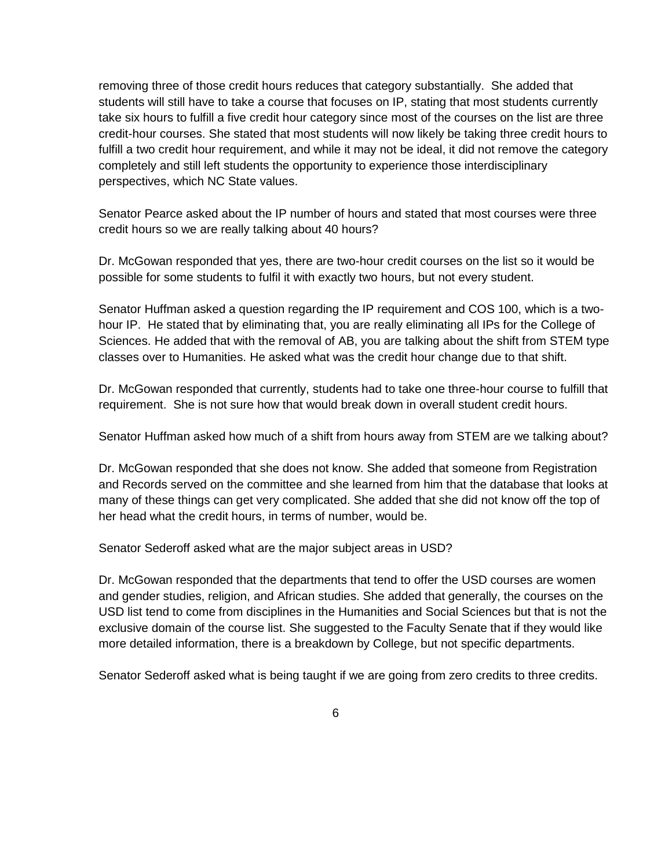removing three of those credit hours reduces that category substantially. She added that students will still have to take a course that focuses on IP, stating that most students currently take six hours to fulfill a five credit hour category since most of the courses on the list are three credit-hour courses. She stated that most students will now likely be taking three credit hours to fulfill a two credit hour requirement, and while it may not be ideal, it did not remove the category completely and still left students the opportunity to experience those interdisciplinary perspectives, which NC State values.

Senator Pearce asked about the IP number of hours and stated that most courses were three credit hours so we are really talking about 40 hours?

Dr. McGowan responded that yes, there are two-hour credit courses on the list so it would be possible for some students to fulfil it with exactly two hours, but not every student.

Senator Huffman asked a question regarding the IP requirement and COS 100, which is a twohour IP. He stated that by eliminating that, you are really eliminating all IPs for the College of Sciences. He added that with the removal of AB, you are talking about the shift from STEM type classes over to Humanities. He asked what was the credit hour change due to that shift.

Dr. McGowan responded that currently, students had to take one three-hour course to fulfill that requirement. She is not sure how that would break down in overall student credit hours.

Senator Huffman asked how much of a shift from hours away from STEM are we talking about?

Dr. McGowan responded that she does not know. She added that someone from Registration and Records served on the committee and she learned from him that the database that looks at many of these things can get very complicated. She added that she did not know off the top of her head what the credit hours, in terms of number, would be.

Senator Sederoff asked what are the major subject areas in USD?

Dr. McGowan responded that the departments that tend to offer the USD courses are women and gender studies, religion, and African studies. She added that generally, the courses on the USD list tend to come from disciplines in the Humanities and Social Sciences but that is not the exclusive domain of the course list. She suggested to the Faculty Senate that if they would like more detailed information, there is a breakdown by College, but not specific departments.

Senator Sederoff asked what is being taught if we are going from zero credits to three credits.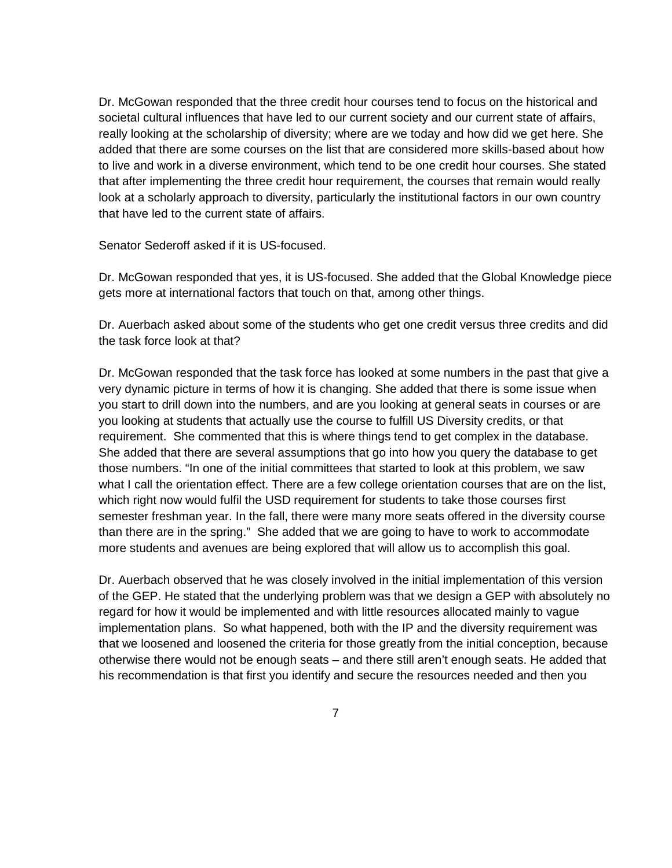Dr. McGowan responded that the three credit hour courses tend to focus on the historical and societal cultural influences that have led to our current society and our current state of affairs, really looking at the scholarship of diversity; where are we today and how did we get here. She added that there are some courses on the list that are considered more skills-based about how to live and work in a diverse environment, which tend to be one credit hour courses. She stated that after implementing the three credit hour requirement, the courses that remain would really look at a scholarly approach to diversity, particularly the institutional factors in our own country that have led to the current state of affairs.

Senator Sederoff asked if it is US-focused.

Dr. McGowan responded that yes, it is US-focused. She added that the Global Knowledge piece gets more at international factors that touch on that, among other things.

Dr. Auerbach asked about some of the students who get one credit versus three credits and did the task force look at that?

Dr. McGowan responded that the task force has looked at some numbers in the past that give a very dynamic picture in terms of how it is changing. She added that there is some issue when you start to drill down into the numbers, and are you looking at general seats in courses or are you looking at students that actually use the course to fulfill US Diversity credits, or that requirement. She commented that this is where things tend to get complex in the database. She added that there are several assumptions that go into how you query the database to get those numbers. "In one of the initial committees that started to look at this problem, we saw what I call the orientation effect. There are a few college orientation courses that are on the list, which right now would fulfil the USD requirement for students to take those courses first semester freshman year. In the fall, there were many more seats offered in the diversity course than there are in the spring." She added that we are going to have to work to accommodate more students and avenues are being explored that will allow us to accomplish this goal.

Dr. Auerbach observed that he was closely involved in the initial implementation of this version of the GEP. He stated that the underlying problem was that we design a GEP with absolutely no regard for how it would be implemented and with little resources allocated mainly to vague implementation plans. So what happened, both with the IP and the diversity requirement was that we loosened and loosened the criteria for those greatly from the initial conception, because otherwise there would not be enough seats – and there still aren't enough seats. He added that his recommendation is that first you identify and secure the resources needed and then you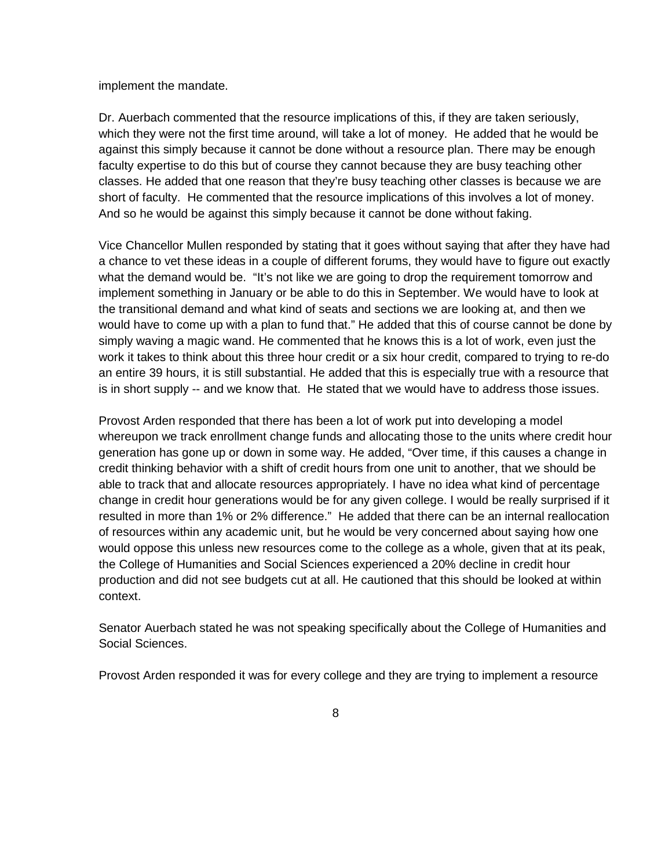implement the mandate.

Dr. Auerbach commented that the resource implications of this, if they are taken seriously, which they were not the first time around, will take a lot of money. He added that he would be against this simply because it cannot be done without a resource plan. There may be enough faculty expertise to do this but of course they cannot because they are busy teaching other classes. He added that one reason that they're busy teaching other classes is because we are short of faculty. He commented that the resource implications of this involves a lot of money. And so he would be against this simply because it cannot be done without faking.

Vice Chancellor Mullen responded by stating that it goes without saying that after they have had a chance to vet these ideas in a couple of different forums, they would have to figure out exactly what the demand would be. "It's not like we are going to drop the requirement tomorrow and implement something in January or be able to do this in September. We would have to look at the transitional demand and what kind of seats and sections we are looking at, and then we would have to come up with a plan to fund that." He added that this of course cannot be done by simply waving a magic wand. He commented that he knows this is a lot of work, even just the work it takes to think about this three hour credit or a six hour credit, compared to trying to re-do an entire 39 hours, it is still substantial. He added that this is especially true with a resource that is in short supply -- and we know that. He stated that we would have to address those issues.

Provost Arden responded that there has been a lot of work put into developing a model whereupon we track enrollment change funds and allocating those to the units where credit hour generation has gone up or down in some way. He added, "Over time, if this causes a change in credit thinking behavior with a shift of credit hours from one unit to another, that we should be able to track that and allocate resources appropriately. I have no idea what kind of percentage change in credit hour generations would be for any given college. I would be really surprised if it resulted in more than 1% or 2% difference." He added that there can be an internal reallocation of resources within any academic unit, but he would be very concerned about saying how one would oppose this unless new resources come to the college as a whole, given that at its peak, the College of Humanities and Social Sciences experienced a 20% decline in credit hour production and did not see budgets cut at all. He cautioned that this should be looked at within context.

Senator Auerbach stated he was not speaking specifically about the College of Humanities and Social Sciences.

Provost Arden responded it was for every college and they are trying to implement a resource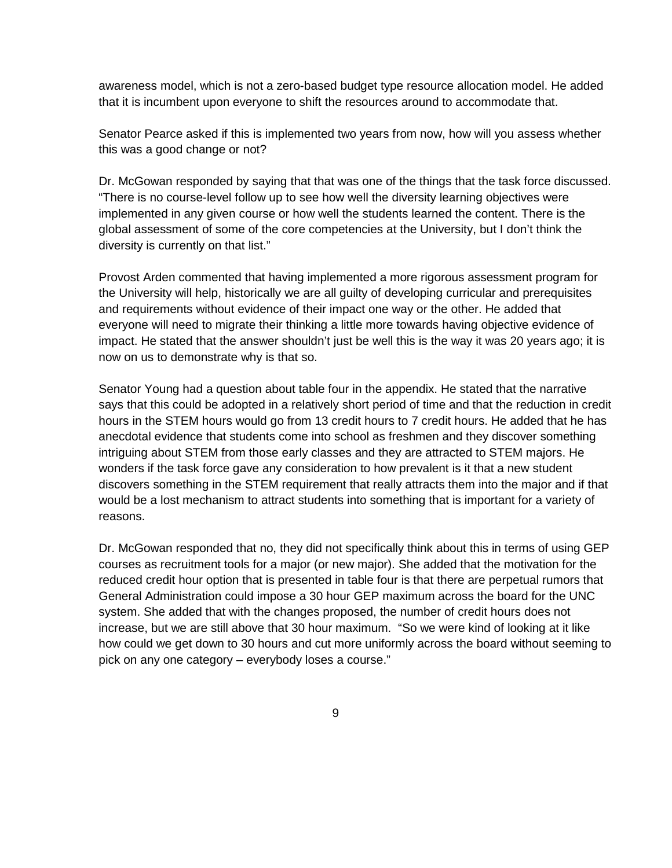awareness model, which is not a zero-based budget type resource allocation model. He added that it is incumbent upon everyone to shift the resources around to accommodate that.

Senator Pearce asked if this is implemented two years from now, how will you assess whether this was a good change or not?

Dr. McGowan responded by saying that that was one of the things that the task force discussed. "There is no course-level follow up to see how well the diversity learning objectives were implemented in any given course or how well the students learned the content. There is the global assessment of some of the core competencies at the University, but I don't think the diversity is currently on that list."

Provost Arden commented that having implemented a more rigorous assessment program for the University will help, historically we are all guilty of developing curricular and prerequisites and requirements without evidence of their impact one way or the other. He added that everyone will need to migrate their thinking a little more towards having objective evidence of impact. He stated that the answer shouldn't just be well this is the way it was 20 years ago; it is now on us to demonstrate why is that so.

Senator Young had a question about table four in the appendix. He stated that the narrative says that this could be adopted in a relatively short period of time and that the reduction in credit hours in the STEM hours would go from 13 credit hours to 7 credit hours. He added that he has anecdotal evidence that students come into school as freshmen and they discover something intriguing about STEM from those early classes and they are attracted to STEM majors. He wonders if the task force gave any consideration to how prevalent is it that a new student discovers something in the STEM requirement that really attracts them into the major and if that would be a lost mechanism to attract students into something that is important for a variety of reasons.

Dr. McGowan responded that no, they did not specifically think about this in terms of using GEP courses as recruitment tools for a major (or new major). She added that the motivation for the reduced credit hour option that is presented in table four is that there are perpetual rumors that General Administration could impose a 30 hour GEP maximum across the board for the UNC system. She added that with the changes proposed, the number of credit hours does not increase, but we are still above that 30 hour maximum. "So we were kind of looking at it like how could we get down to 30 hours and cut more uniformly across the board without seeming to pick on any one category – everybody loses a course."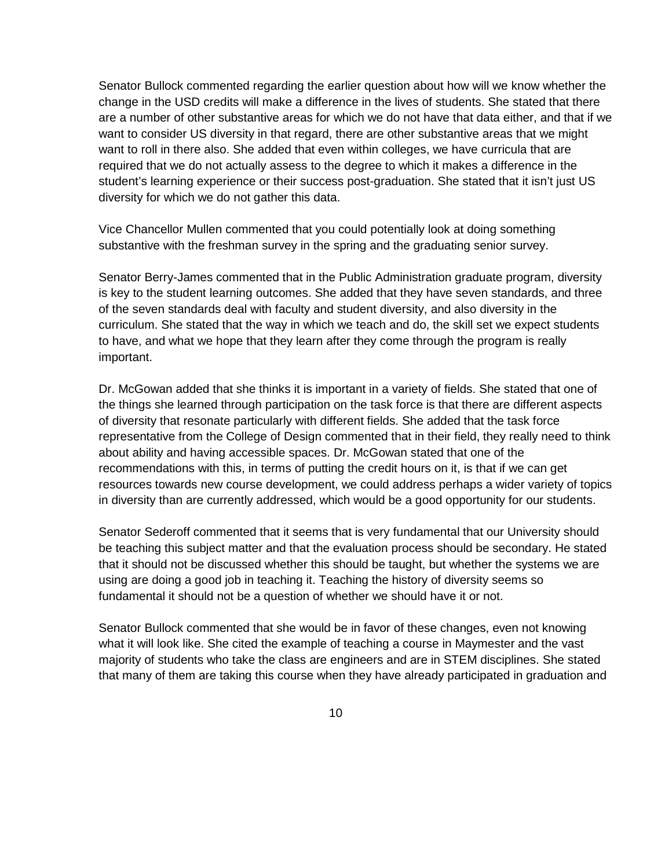Senator Bullock commented regarding the earlier question about how will we know whether the change in the USD credits will make a difference in the lives of students. She stated that there are a number of other substantive areas for which we do not have that data either, and that if we want to consider US diversity in that regard, there are other substantive areas that we might want to roll in there also. She added that even within colleges, we have curricula that are required that we do not actually assess to the degree to which it makes a difference in the student's learning experience or their success post-graduation. She stated that it isn't just US diversity for which we do not gather this data.

Vice Chancellor Mullen commented that you could potentially look at doing something substantive with the freshman survey in the spring and the graduating senior survey.

Senator Berry-James commented that in the Public Administration graduate program, diversity is key to the student learning outcomes. She added that they have seven standards, and three of the seven standards deal with faculty and student diversity, and also diversity in the curriculum. She stated that the way in which we teach and do, the skill set we expect students to have, and what we hope that they learn after they come through the program is really important.

Dr. McGowan added that she thinks it is important in a variety of fields. She stated that one of the things she learned through participation on the task force is that there are different aspects of diversity that resonate particularly with different fields. She added that the task force representative from the College of Design commented that in their field, they really need to think about ability and having accessible spaces. Dr. McGowan stated that one of the recommendations with this, in terms of putting the credit hours on it, is that if we can get resources towards new course development, we could address perhaps a wider variety of topics in diversity than are currently addressed, which would be a good opportunity for our students.

Senator Sederoff commented that it seems that is very fundamental that our University should be teaching this subject matter and that the evaluation process should be secondary. He stated that it should not be discussed whether this should be taught, but whether the systems we are using are doing a good job in teaching it. Teaching the history of diversity seems so fundamental it should not be a question of whether we should have it or not.

Senator Bullock commented that she would be in favor of these changes, even not knowing what it will look like. She cited the example of teaching a course in Maymester and the vast majority of students who take the class are engineers and are in STEM disciplines. She stated that many of them are taking this course when they have already participated in graduation and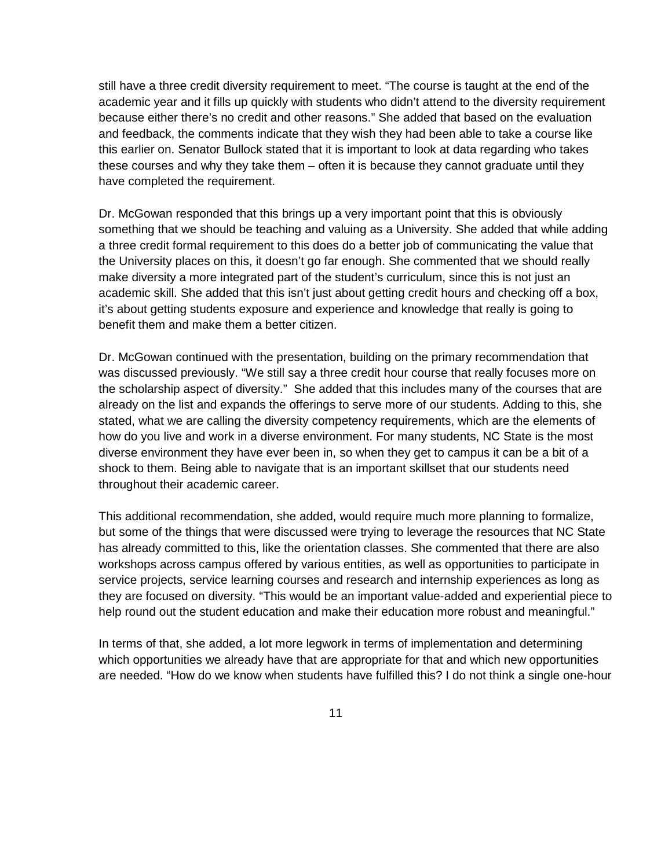still have a three credit diversity requirement to meet. "The course is taught at the end of the academic year and it fills up quickly with students who didn't attend to the diversity requirement because either there's no credit and other reasons." She added that based on the evaluation and feedback, the comments indicate that they wish they had been able to take a course like this earlier on. Senator Bullock stated that it is important to look at data regarding who takes these courses and why they take them – often it is because they cannot graduate until they have completed the requirement.

Dr. McGowan responded that this brings up a very important point that this is obviously something that we should be teaching and valuing as a University. She added that while adding a three credit formal requirement to this does do a better job of communicating the value that the University places on this, it doesn't go far enough. She commented that we should really make diversity a more integrated part of the student's curriculum, since this is not just an academic skill. She added that this isn't just about getting credit hours and checking off a box, it's about getting students exposure and experience and knowledge that really is going to benefit them and make them a better citizen.

Dr. McGowan continued with the presentation, building on the primary recommendation that was discussed previously. "We still say a three credit hour course that really focuses more on the scholarship aspect of diversity." She added that this includes many of the courses that are already on the list and expands the offerings to serve more of our students. Adding to this, she stated, what we are calling the diversity competency requirements, which are the elements of how do you live and work in a diverse environment. For many students, NC State is the most diverse environment they have ever been in, so when they get to campus it can be a bit of a shock to them. Being able to navigate that is an important skillset that our students need throughout their academic career.

This additional recommendation, she added, would require much more planning to formalize, but some of the things that were discussed were trying to leverage the resources that NC State has already committed to this, like the orientation classes. She commented that there are also workshops across campus offered by various entities, as well as opportunities to participate in service projects, service learning courses and research and internship experiences as long as they are focused on diversity. "This would be an important value-added and experiential piece to help round out the student education and make their education more robust and meaningful."

In terms of that, she added, a lot more legwork in terms of implementation and determining which opportunities we already have that are appropriate for that and which new opportunities are needed. "How do we know when students have fulfilled this? I do not think a single one-hour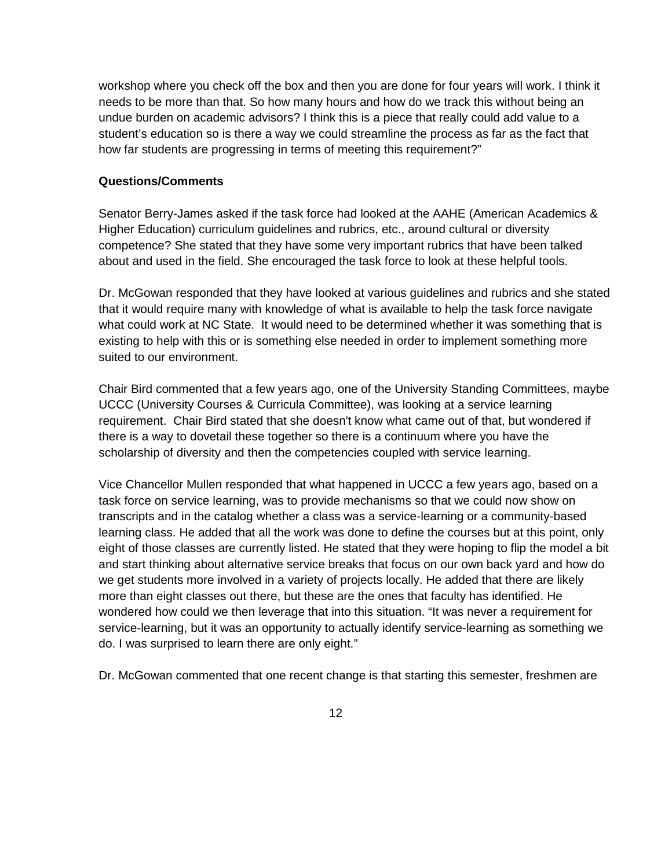workshop where you check off the box and then you are done for four years will work. I think it needs to be more than that. So how many hours and how do we track this without being an undue burden on academic advisors? I think this is a piece that really could add value to a student's education so is there a way we could streamline the process as far as the fact that how far students are progressing in terms of meeting this requirement?"

#### **Questions/Comments**

Senator Berry-James asked if the task force had looked at the AAHE (American Academics & Higher Education) curriculum guidelines and rubrics, etc., around cultural or diversity competence? She stated that they have some very important rubrics that have been talked about and used in the field. She encouraged the task force to look at these helpful tools.

Dr. McGowan responded that they have looked at various guidelines and rubrics and she stated that it would require many with knowledge of what is available to help the task force navigate what could work at NC State. It would need to be determined whether it was something that is existing to help with this or is something else needed in order to implement something more suited to our environment.

Chair Bird commented that a few years ago, one of the University Standing Committees, maybe UCCC (University Courses & Curricula Committee), was looking at a service learning requirement. Chair Bird stated that she doesn't know what came out of that, but wondered if there is a way to dovetail these together so there is a continuum where you have the scholarship of diversity and then the competencies coupled with service learning.

Vice Chancellor Mullen responded that what happened in UCCC a few years ago, based on a task force on service learning, was to provide mechanisms so that we could now show on transcripts and in the catalog whether a class was a service-learning or a community-based learning class. He added that all the work was done to define the courses but at this point, only eight of those classes are currently listed. He stated that they were hoping to flip the model a bit and start thinking about alternative service breaks that focus on our own back yard and how do we get students more involved in a variety of projects locally. He added that there are likely more than eight classes out there, but these are the ones that faculty has identified. He wondered how could we then leverage that into this situation. "It was never a requirement for service-learning, but it was an opportunity to actually identify service-learning as something we do. I was surprised to learn there are only eight."

Dr. McGowan commented that one recent change is that starting this semester, freshmen are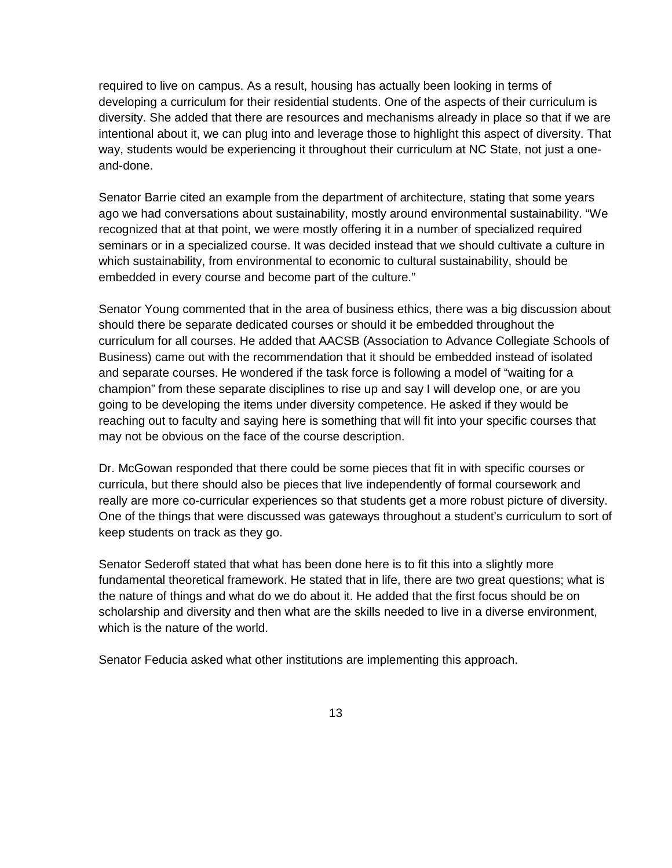required to live on campus. As a result, housing has actually been looking in terms of developing a curriculum for their residential students. One of the aspects of their curriculum is diversity. She added that there are resources and mechanisms already in place so that if we are intentional about it, we can plug into and leverage those to highlight this aspect of diversity. That way, students would be experiencing it throughout their curriculum at NC State, not just a oneand-done.

Senator Barrie cited an example from the department of architecture, stating that some years ago we had conversations about sustainability, mostly around environmental sustainability. "We recognized that at that point, we were mostly offering it in a number of specialized required seminars or in a specialized course. It was decided instead that we should cultivate a culture in which sustainability, from environmental to economic to cultural sustainability, should be embedded in every course and become part of the culture."

Senator Young commented that in the area of business ethics, there was a big discussion about should there be separate dedicated courses or should it be embedded throughout the curriculum for all courses. He added that AACSB (Association to Advance Collegiate Schools of Business) came out with the recommendation that it should be embedded instead of isolated and separate courses. He wondered if the task force is following a model of "waiting for a champion" from these separate disciplines to rise up and say I will develop one, or are you going to be developing the items under diversity competence. He asked if they would be reaching out to faculty and saying here is something that will fit into your specific courses that may not be obvious on the face of the course description.

Dr. McGowan responded that there could be some pieces that fit in with specific courses or curricula, but there should also be pieces that live independently of formal coursework and really are more co-curricular experiences so that students get a more robust picture of diversity. One of the things that were discussed was gateways throughout a student's curriculum to sort of keep students on track as they go.

Senator Sederoff stated that what has been done here is to fit this into a slightly more fundamental theoretical framework. He stated that in life, there are two great questions; what is the nature of things and what do we do about it. He added that the first focus should be on scholarship and diversity and then what are the skills needed to live in a diverse environment, which is the nature of the world.

Senator Feducia asked what other institutions are implementing this approach.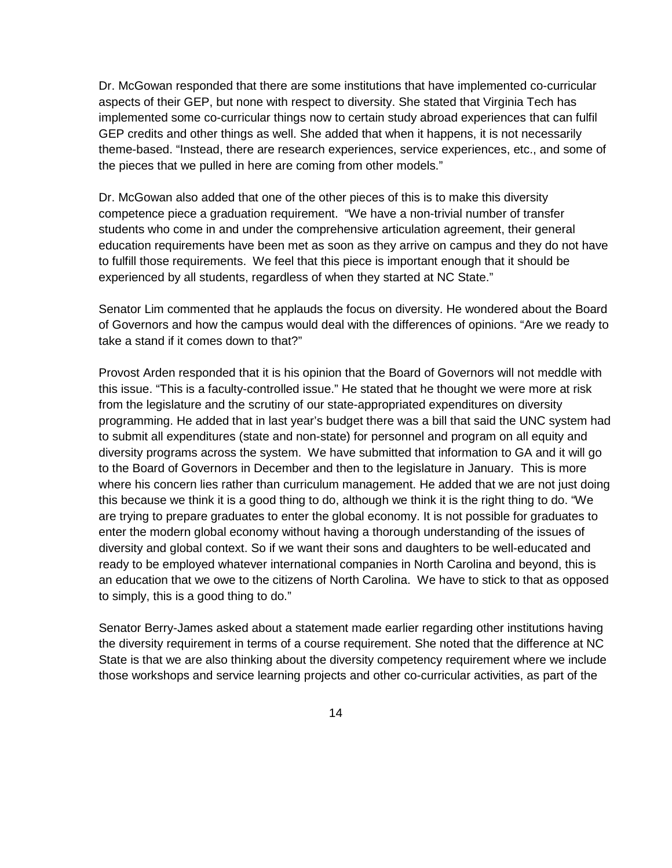Dr. McGowan responded that there are some institutions that have implemented co-curricular aspects of their GEP, but none with respect to diversity. She stated that Virginia Tech has implemented some co-curricular things now to certain study abroad experiences that can fulfil GEP credits and other things as well. She added that when it happens, it is not necessarily theme-based. "Instead, there are research experiences, service experiences, etc., and some of the pieces that we pulled in here are coming from other models."

Dr. McGowan also added that one of the other pieces of this is to make this diversity competence piece a graduation requirement. "We have a non-trivial number of transfer students who come in and under the comprehensive articulation agreement, their general education requirements have been met as soon as they arrive on campus and they do not have to fulfill those requirements. We feel that this piece is important enough that it should be experienced by all students, regardless of when they started at NC State."

Senator Lim commented that he applauds the focus on diversity. He wondered about the Board of Governors and how the campus would deal with the differences of opinions. "Are we ready to take a stand if it comes down to that?"

Provost Arden responded that it is his opinion that the Board of Governors will not meddle with this issue. "This is a faculty-controlled issue." He stated that he thought we were more at risk from the legislature and the scrutiny of our state-appropriated expenditures on diversity programming. He added that in last year's budget there was a bill that said the UNC system had to submit all expenditures (state and non-state) for personnel and program on all equity and diversity programs across the system. We have submitted that information to GA and it will go to the Board of Governors in December and then to the legislature in January. This is more where his concern lies rather than curriculum management. He added that we are not just doing this because we think it is a good thing to do, although we think it is the right thing to do. "We are trying to prepare graduates to enter the global economy. It is not possible for graduates to enter the modern global economy without having a thorough understanding of the issues of diversity and global context. So if we want their sons and daughters to be well-educated and ready to be employed whatever international companies in North Carolina and beyond, this is an education that we owe to the citizens of North Carolina. We have to stick to that as opposed to simply, this is a good thing to do."

Senator Berry-James asked about a statement made earlier regarding other institutions having the diversity requirement in terms of a course requirement. She noted that the difference at NC State is that we are also thinking about the diversity competency requirement where we include those workshops and service learning projects and other co-curricular activities, as part of the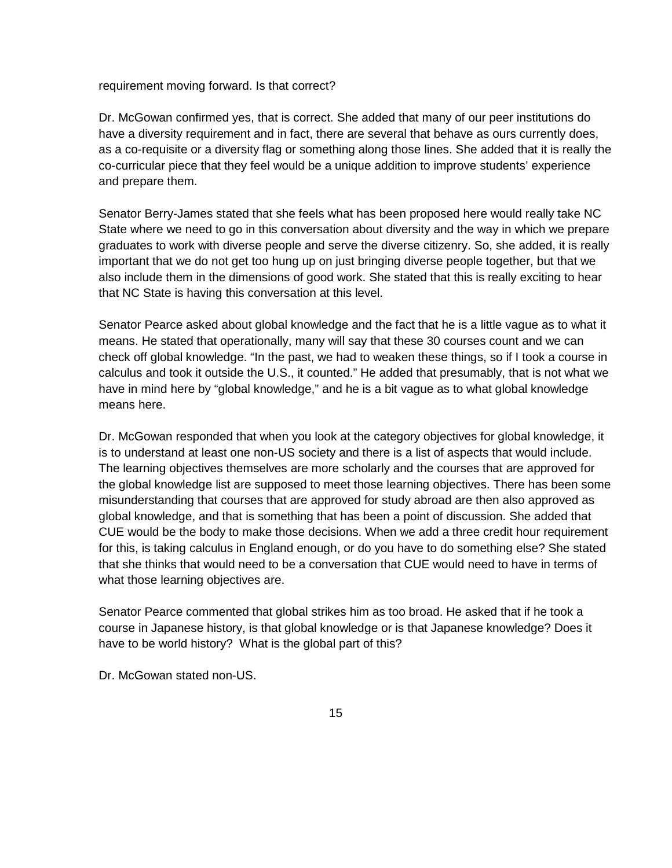requirement moving forward. Is that correct?

Dr. McGowan confirmed yes, that is correct. She added that many of our peer institutions do have a diversity requirement and in fact, there are several that behave as ours currently does, as a co-requisite or a diversity flag or something along those lines. She added that it is really the co-curricular piece that they feel would be a unique addition to improve students' experience and prepare them.

Senator Berry-James stated that she feels what has been proposed here would really take NC State where we need to go in this conversation about diversity and the way in which we prepare graduates to work with diverse people and serve the diverse citizenry. So, she added, it is really important that we do not get too hung up on just bringing diverse people together, but that we also include them in the dimensions of good work. She stated that this is really exciting to hear that NC State is having this conversation at this level.

Senator Pearce asked about global knowledge and the fact that he is a little vague as to what it means. He stated that operationally, many will say that these 30 courses count and we can check off global knowledge. "In the past, we had to weaken these things, so if I took a course in calculus and took it outside the U.S., it counted." He added that presumably, that is not what we have in mind here by "global knowledge," and he is a bit vague as to what global knowledge means here.

Dr. McGowan responded that when you look at the category objectives for global knowledge, it is to understand at least one non-US society and there is a list of aspects that would include. The learning objectives themselves are more scholarly and the courses that are approved for the global knowledge list are supposed to meet those learning objectives. There has been some misunderstanding that courses that are approved for study abroad are then also approved as global knowledge, and that is something that has been a point of discussion. She added that CUE would be the body to make those decisions. When we add a three credit hour requirement for this, is taking calculus in England enough, or do you have to do something else? She stated that she thinks that would need to be a conversation that CUE would need to have in terms of what those learning objectives are.

Senator Pearce commented that global strikes him as too broad. He asked that if he took a course in Japanese history, is that global knowledge or is that Japanese knowledge? Does it have to be world history? What is the global part of this?

Dr. McGowan stated non-US.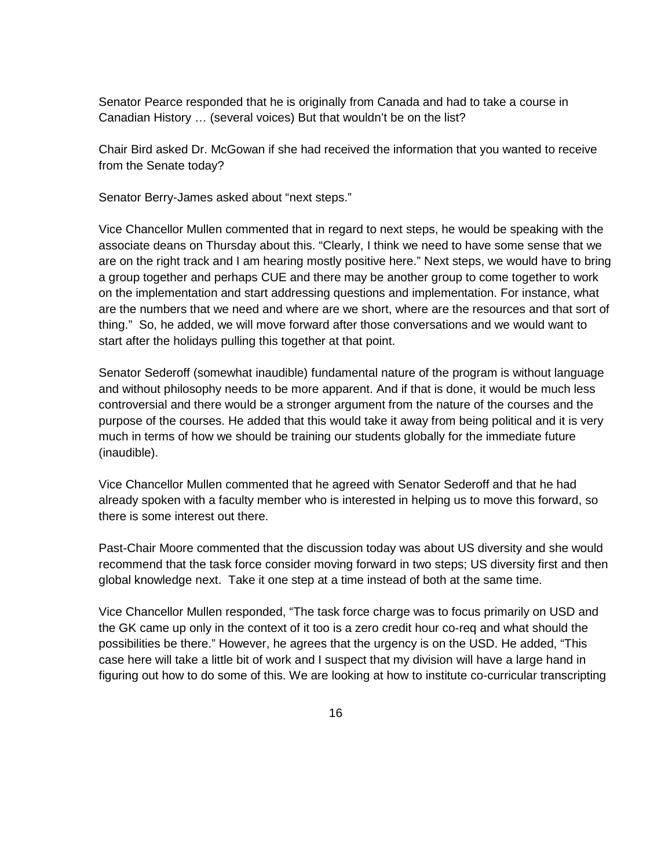Senator Pearce responded that he is originally from Canada and had to take a course in Canadian History … (several voices) But that wouldn't be on the list?

Chair Bird asked Dr. McGowan if she had received the information that you wanted to receive from the Senate today?

Senator Berry-James asked about "next steps."

Vice Chancellor Mullen commented that in regard to next steps, he would be speaking with the associate deans on Thursday about this. "Clearly, I think we need to have some sense that we are on the right track and I am hearing mostly positive here." Next steps, we would have to bring a group together and perhaps CUE and there may be another group to come together to work on the implementation and start addressing questions and implementation. For instance, what are the numbers that we need and where are we short, where are the resources and that sort of thing." So, he added, we will move forward after those conversations and we would want to start after the holidays pulling this together at that point.

Senator Sederoff (somewhat inaudible) fundamental nature of the program is without language and without philosophy needs to be more apparent. And if that is done, it would be much less controversial and there would be a stronger argument from the nature of the courses and the purpose of the courses. He added that this would take it away from being political and it is very much in terms of how we should be training our students globally for the immediate future (inaudible).

Vice Chancellor Mullen commented that he agreed with Senator Sederoff and that he had already spoken with a faculty member who is interested in helping us to move this forward, so there is some interest out there.

Past-Chair Moore commented that the discussion today was about US diversity and she would recommend that the task force consider moving forward in two steps; US diversity first and then global knowledge next. Take it one step at a time instead of both at the same time.

Vice Chancellor Mullen responded, "The task force charge was to focus primarily on USD and the GK came up only in the context of it too is a zero credit hour co-req and what should the possibilities be there." However, he agrees that the urgency is on the USD. He added, "This case here will take a little bit of work and I suspect that my division will have a large hand in figuring out how to do some of this. We are looking at how to institute co-curricular transcripting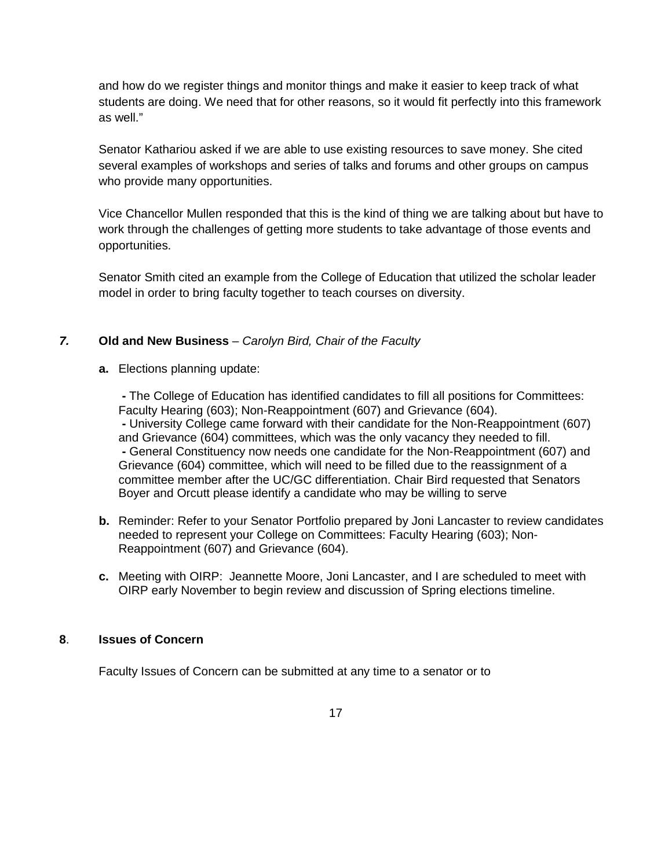and how do we register things and monitor things and make it easier to keep track of what students are doing. We need that for other reasons, so it would fit perfectly into this framework as well."

Senator Kathariou asked if we are able to use existing resources to save money. She cited several examples of workshops and series of talks and forums and other groups on campus who provide many opportunities.

Vice Chancellor Mullen responded that this is the kind of thing we are talking about but have to work through the challenges of getting more students to take advantage of those events and opportunities.

Senator Smith cited an example from the College of Education that utilized the scholar leader model in order to bring faculty together to teach courses on diversity.

## *7.* **Old and New Business** – *Carolyn Bird, Chair of the Faculty*

**a.** Elections planning update:

**-** The College of Education has identified candidates to fill all positions for Committees: Faculty Hearing (603); Non-Reappointment (607) and Grievance (604). **-** University College came forward with their candidate for the Non-Reappointment (607) and Grievance (604) committees, which was the only vacancy they needed to fill. **-** General Constituency now needs one candidate for the Non-Reappointment (607) and Grievance (604) committee, which will need to be filled due to the reassignment of a committee member after the UC/GC differentiation. Chair Bird requested that Senators Boyer and Orcutt please identify a candidate who may be willing to serve

- **b.** Reminder: Refer to your Senator Portfolio prepared by Joni Lancaster to review candidates needed to represent your College on Committees: Faculty Hearing (603); Non-Reappointment (607) and Grievance (604).
- **c.** Meeting with OIRP: Jeannette Moore, Joni Lancaster, and I are scheduled to meet with OIRP early November to begin review and discussion of Spring elections timeline.

### **8**. **Issues of Concern**

Faculty Issues of Concern can be submitted at any time to a senator or to